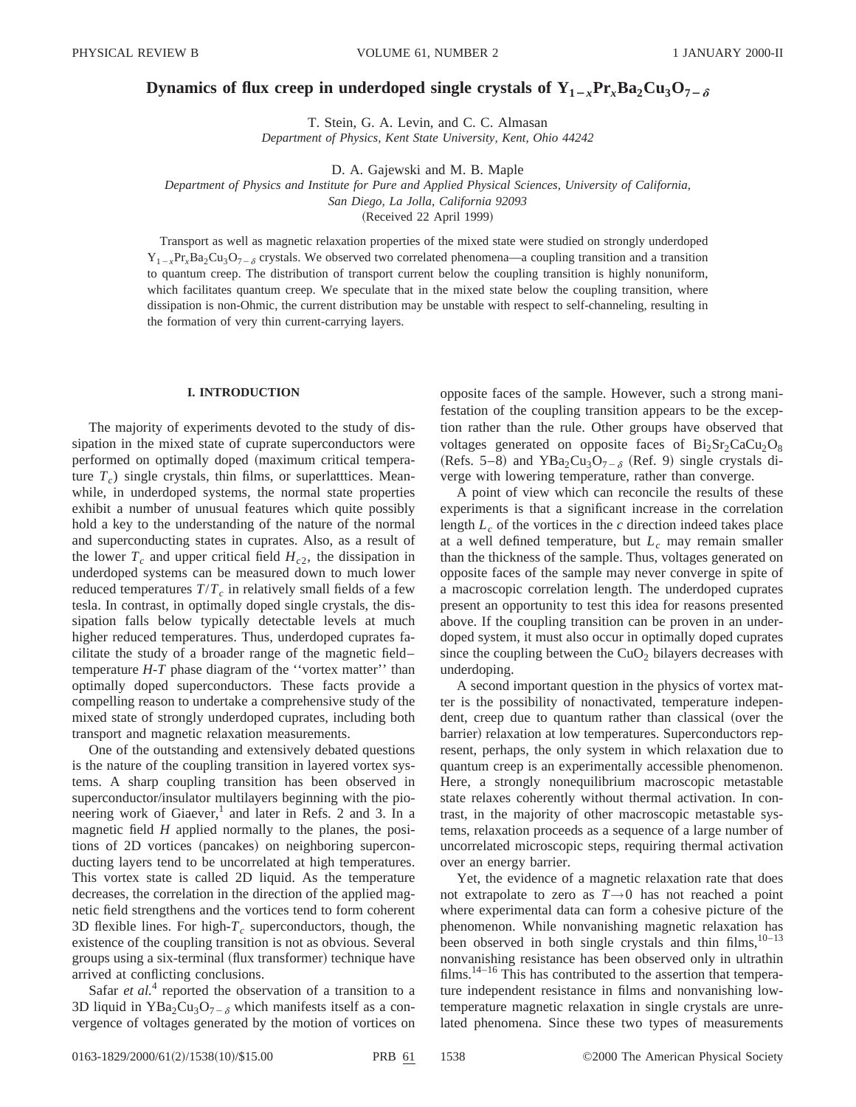# **Dynamics of flux creep in underdoped single crystals of**  $Y_{1-x}P_{x}Ba_{2}Cu_{3}O_{7-\delta}$

T. Stein, G. A. Levin, and C. C. Almasan

*Department of Physics, Kent State University, Kent, Ohio 44242*

D. A. Gajewski and M. B. Maple

*Department of Physics and Institute for Pure and Applied Physical Sciences, University of California,*

*San Diego, La Jolla, California 92093*

(Received 22 April 1999)

Transport as well as magnetic relaxation properties of the mixed state were studied on strongly underdoped  $Y_{1-x}Pr_xBa_2Cu_3O_{7-x}$  crystals. We observed two correlated phenomena—a coupling transition and a transition to quantum creep. The distribution of transport current below the coupling transition is highly nonuniform, which facilitates quantum creep. We speculate that in the mixed state below the coupling transition, where dissipation is non-Ohmic, the current distribution may be unstable with respect to self-channeling, resulting in the formation of very thin current-carrying layers.

## **I. INTRODUCTION**

The majority of experiments devoted to the study of dissipation in the mixed state of cuprate superconductors were performed on optimally doped (maximum critical temperature  $T_c$ ) single crystals, thin films, or superlatttices. Meanwhile, in underdoped systems, the normal state properties exhibit a number of unusual features which quite possibly hold a key to the understanding of the nature of the normal and superconducting states in cuprates. Also, as a result of the lower  $T_c$  and upper critical field  $H_{c2}$ , the dissipation in underdoped systems can be measured down to much lower reduced temperatures  $T/T_c$  in relatively small fields of a few tesla. In contrast, in optimally doped single crystals, the dissipation falls below typically detectable levels at much higher reduced temperatures. Thus, underdoped cuprates facilitate the study of a broader range of the magnetic field– temperature *H*-*T* phase diagram of the ''vortex matter'' than optimally doped superconductors. These facts provide a compelling reason to undertake a comprehensive study of the mixed state of strongly underdoped cuprates, including both transport and magnetic relaxation measurements.

One of the outstanding and extensively debated questions is the nature of the coupling transition in layered vortex systems. A sharp coupling transition has been observed in superconductor/insulator multilayers beginning with the pioneering work of Giaever,<sup>1</sup> and later in Refs. 2 and 3. In a magnetic field *H* applied normally to the planes, the positions of 2D vortices (pancakes) on neighboring superconducting layers tend to be uncorrelated at high temperatures. This vortex state is called 2D liquid. As the temperature decreases, the correlation in the direction of the applied magnetic field strengthens and the vortices tend to form coherent 3D flexible lines. For high- $T_c$  superconductors, though, the existence of the coupling transition is not as obvious. Several groups using a six-terminal (flux transformer) technique have arrived at conflicting conclusions.

Safar *et al.*<sup>4</sup> reported the observation of a transition to a 3D liquid in  $YBa_2Cu_3O_{7-\delta}$  which manifests itself as a convergence of voltages generated by the motion of vortices on opposite faces of the sample. However, such a strong manifestation of the coupling transition appears to be the exception rather than the rule. Other groups have observed that voltages generated on opposite faces of  $Bi<sub>2</sub>Sr<sub>2</sub>CaCu<sub>2</sub>O<sub>8</sub>$ (Refs. 5–8) and YBa<sub>2</sub>Cu<sub>3</sub>O<sub>7– $\delta$ </sub> (Ref. 9) single crystals diverge with lowering temperature, rather than converge.

A point of view which can reconcile the results of these experiments is that a significant increase in the correlation length  $L_c$  of the vortices in the  $c$  direction indeed takes place at a well defined temperature, but  $L_c$  may remain smaller than the thickness of the sample. Thus, voltages generated on opposite faces of the sample may never converge in spite of a macroscopic correlation length. The underdoped cuprates present an opportunity to test this idea for reasons presented above. If the coupling transition can be proven in an underdoped system, it must also occur in optimally doped cuprates since the coupling between the  $CuO<sub>2</sub>$  bilayers decreases with underdoping.

A second important question in the physics of vortex matter is the possibility of nonactivated, temperature independent, creep due to quantum rather than classical (over the barrier) relaxation at low temperatures. Superconductors represent, perhaps, the only system in which relaxation due to quantum creep is an experimentally accessible phenomenon. Here, a strongly nonequilibrium macroscopic metastable state relaxes coherently without thermal activation. In contrast, in the majority of other macroscopic metastable systems, relaxation proceeds as a sequence of a large number of uncorrelated microscopic steps, requiring thermal activation over an energy barrier.

Yet, the evidence of a magnetic relaxation rate that does not extrapolate to zero as  $T\rightarrow 0$  has not reached a point where experimental data can form a cohesive picture of the phenomenon. While nonvanishing magnetic relaxation has been observed in both single crystals and thin films, $10-13$ nonvanishing resistance has been observed only in ultrathin films.<sup>14–16</sup> This has contributed to the assertion that temperature independent resistance in films and nonvanishing lowtemperature magnetic relaxation in single crystals are unrelated phenomena. Since these two types of measurements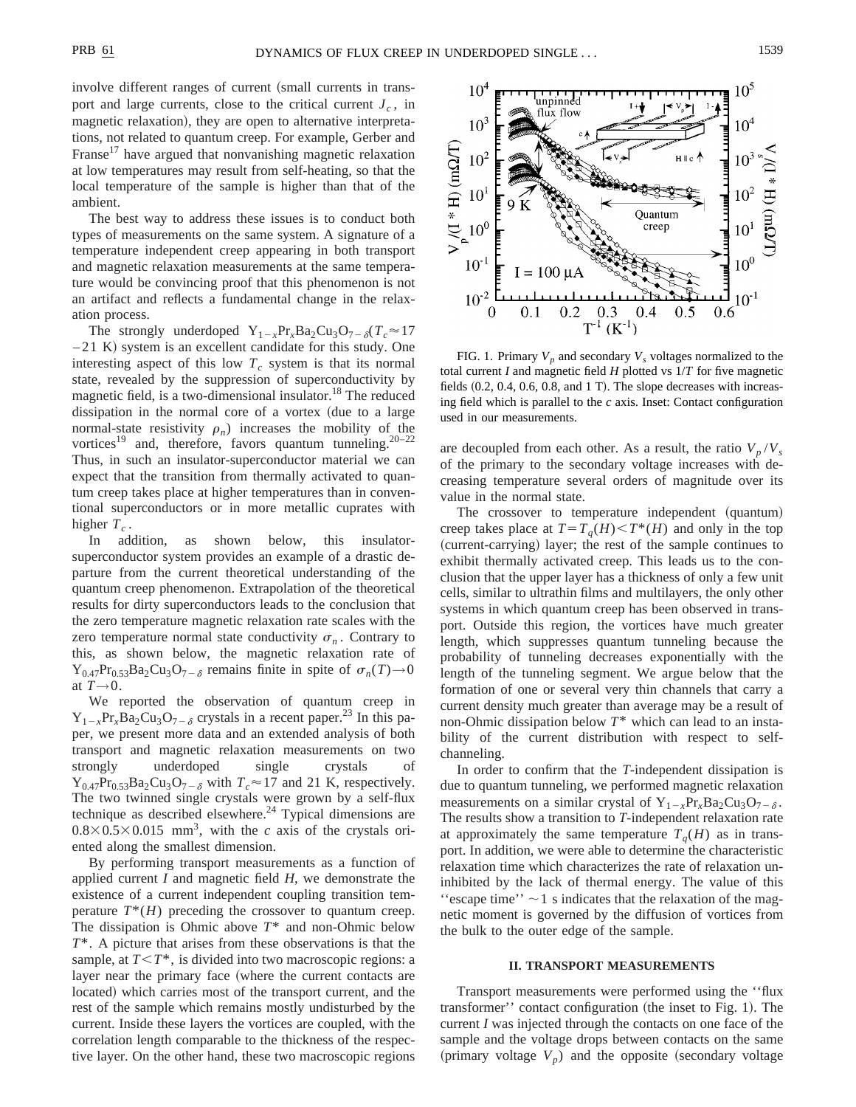involve different ranges of current (small currents in transport and large currents, close to the critical current  $J_c$ , in magnetic relaxation), they are open to alternative interpretations, not related to quantum creep. For example, Gerber and Franse<sup>17</sup> have argued that nonvanishing magnetic relaxation at low temperatures may result from self-heating, so that the local temperature of the sample is higher than that of the ambient.

The best way to address these issues is to conduct both types of measurements on the same system. A signature of a temperature independent creep appearing in both transport and magnetic relaxation measurements at the same temperature would be convincing proof that this phenomenon is not an artifact and reflects a fundamental change in the relaxation process.

The strongly underdoped  $Y_{1-x}Pr_xBa_2Cu_3O_{7-\delta}(T_c \approx 17)$  $-21$  K) system is an excellent candidate for this study. One interesting aspect of this low  $T_c$  system is that its normal state, revealed by the suppression of superconductivity by magnetic field, is a two-dimensional insulator.<sup>18</sup> The reduced dissipation in the normal core of a vortex (due to a large normal-state resistivity  $\rho_n$ ) increases the mobility of the vortices<sup>19</sup> and, therefore, favors quantum tunneling.<sup>20–22</sup> Thus, in such an insulator-superconductor material we can expect that the transition from thermally activated to quantum creep takes place at higher temperatures than in conventional superconductors or in more metallic cuprates with higher  $T_c$ .

In addition, as shown below, this insulatorsuperconductor system provides an example of a drastic departure from the current theoretical understanding of the quantum creep phenomenon. Extrapolation of the theoretical results for dirty superconductors leads to the conclusion that the zero temperature magnetic relaxation rate scales with the zero temperature normal state conductivity  $\sigma_n$ . Contrary to this, as shown below, the magnetic relaxation rate of  $Y_{0.47}Pr_{0.53}Ba_2Cu_3O_{7-\delta}$  remains finite in spite of  $\sigma_n(T) \rightarrow 0$ at *T*→0.

We reported the observation of quantum creep in  $Y_{1-x}Pr_xBa_2Cu_3O_{7-\delta}$  crystals in a recent paper.<sup>23</sup> In this paper, we present more data and an extended analysis of both transport and magnetic relaxation measurements on two strongly underdoped single crystals of  $Y_{0.47}Pr_{0.53}Ba_2Cu_3O_{7-\delta}$  with  $T_c \approx 17$  and 21 K, respectively. The two twinned single crystals were grown by a self-flux technique as described elsewhere.<sup>24</sup> Typical dimensions are  $0.8 \times 0.5 \times 0.015$  mm<sup>3</sup>, with the *c* axis of the crystals oriented along the smallest dimension.

By performing transport measurements as a function of applied current *I* and magnetic field *H*, we demonstrate the existence of a current independent coupling transition temperature  $T^*(H)$  preceding the crossover to quantum creep. The dissipation is Ohmic above *T*\* and non-Ohmic below *T*\*. A picture that arises from these observations is that the sample, at  $T \leq T^*$ , is divided into two macroscopic regions: a layer near the primary face (where the current contacts are located) which carries most of the transport current, and the rest of the sample which remains mostly undisturbed by the current. Inside these layers the vortices are coupled, with the correlation length comparable to the thickness of the respective layer. On the other hand, these two macroscopic regions



FIG. 1. Primary  $V_p$  and secondary  $V_s$  voltages normalized to the total current *I* and magnetic field *H* plotted vs 1/*T* for five magnetic fields  $(0.2, 0.4, 0.6, 0.8,$  and 1 T). The slope decreases with increasing field which is parallel to the *c* axis. Inset: Contact configuration used in our measurements.

are decoupled from each other. As a result, the ratio  $V_p/V_s$ of the primary to the secondary voltage increases with decreasing temperature several orders of magnitude over its value in the normal state.

The crossover to temperature independent (quantum) creep takes place at  $T=T_q(H) < T^*(H)$  and only in the top (current-carrying) layer; the rest of the sample continues to exhibit thermally activated creep. This leads us to the conclusion that the upper layer has a thickness of only a few unit cells, similar to ultrathin films and multilayers, the only other systems in which quantum creep has been observed in transport. Outside this region, the vortices have much greater length, which suppresses quantum tunneling because the probability of tunneling decreases exponentially with the length of the tunneling segment. We argue below that the formation of one or several very thin channels that carry a current density much greater than average may be a result of non-Ohmic dissipation below *T*\* which can lead to an instability of the current distribution with respect to selfchanneling.

In order to confirm that the *T*-independent dissipation is due to quantum tunneling, we performed magnetic relaxation measurements on a similar crystal of  $Y_{1-x}Pr_xBa_2Cu_3O_{7-\delta}$ . The results show a transition to *T*-independent relaxation rate at approximately the same temperature  $T_q(H)$  as in transport. In addition, we were able to determine the characteristic relaxation time which characterizes the rate of relaxation uninhibited by the lack of thermal energy. The value of this "escape time"  $\sim$  1 s indicates that the relaxation of the magnetic moment is governed by the diffusion of vortices from the bulk to the outer edge of the sample.

# **II. TRANSPORT MEASUREMENTS**

Transport measurements were performed using the ''flux transformer'' contact configuration (the inset to Fig. 1). The current *I* was injected through the contacts on one face of the sample and the voltage drops between contacts on the same (primary voltage  $V_p$ ) and the opposite (secondary voltage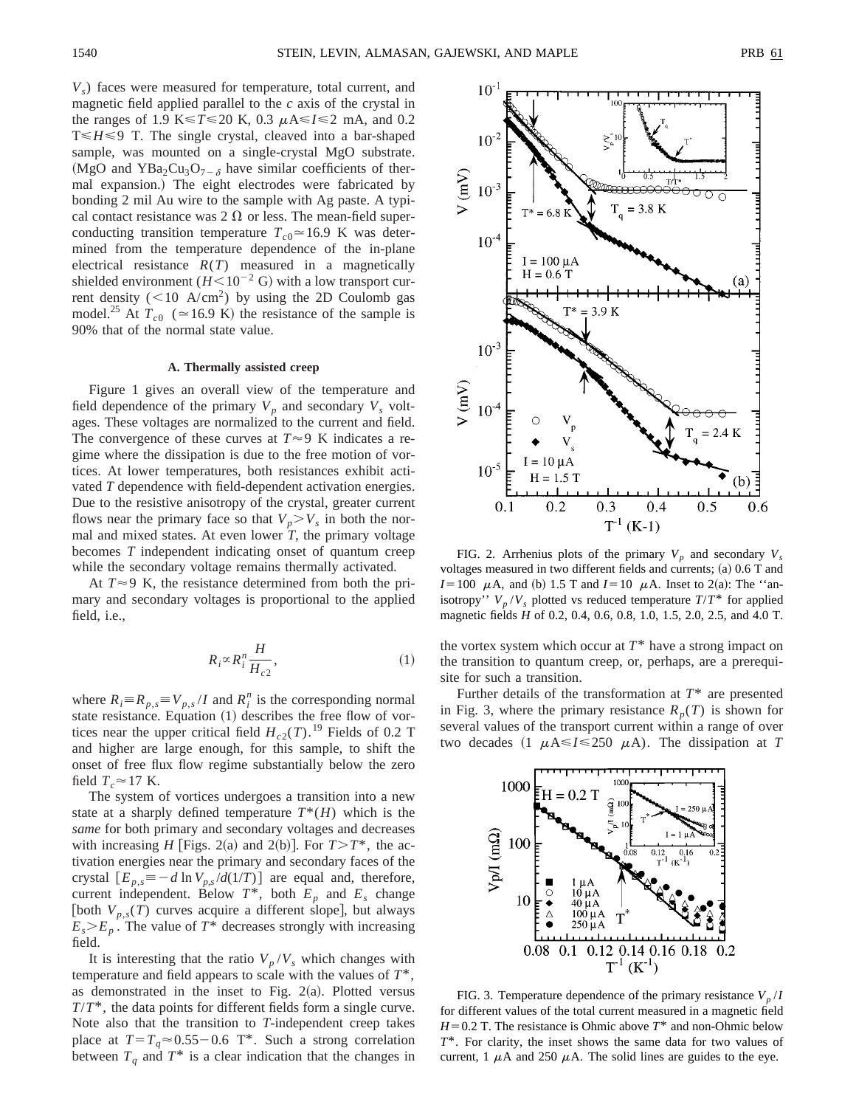*V<sub>s</sub>*) faces were measured for temperature, total current, and magnetic field applied parallel to the *c* axis of the crystal in the ranges of 1.9 K $\leq$  T $\leq$  20 K, 0.3  $\mu$ A $\leq$ I $\leq$ 2 mA, and 0.2  $T \leq H \leq 9$  T. The single crystal, cleaved into a bar-shaped sample, was mounted on a single-crystal MgO substrate. (MgO and YBa<sub>2</sub>Cu<sub>3</sub>O<sub>7- $\delta$ </sub> have similar coefficients of thermal expansion.) The eight electrodes were fabricated by bonding 2 mil Au wire to the sample with Ag paste. A typical contact resistance was 2  $\Omega$  or less. The mean-field superconducting transition temperature  $T_{c0} \approx 16.9$  K was determined from the temperature dependence of the in-plane electrical resistance  $R(T)$  measured in a magnetically shielded environment  $(H<10^{-2} \text{ G})$  with a low transport current density ( $<$ 10 A/cm<sup>2</sup>) by using the 2D Coulomb gas model.<sup>25</sup> At  $T_{c0}$  ( $\simeq$  16.9 K) the resistance of the sample is 90% that of the normal state value.

## **A. Thermally assisted creep**

Figure 1 gives an overall view of the temperature and field dependence of the primary  $V_p$  and secondary  $V_s$  voltages. These voltages are normalized to the current and field. The convergence of these curves at  $T \approx 9$  K indicates a regime where the dissipation is due to the free motion of vortices. At lower temperatures, both resistances exhibit activated *T* dependence with field-dependent activation energies. Due to the resistive anisotropy of the crystal, greater current flows near the primary face so that  $V_p > V_s$  in both the normal and mixed states. At even lower  $\overline{T}$ , the primary voltage becomes *T* independent indicating onset of quantum creep while the secondary voltage remains thermally activated.

At  $T \approx 9$  K, the resistance determined from both the primary and secondary voltages is proportional to the applied field, i.e.,

$$
R_i \propto R_i^n \frac{H}{H_{c2}},\tag{1}
$$

where  $R_i = R_{p,s} = V_{p,s} / I$  and  $R_i^n$  is the corresponding normal state resistance. Equation  $(1)$  describes the free flow of vortices near the upper critical field  $H_{c2}(T)$ .<sup>19</sup> Fields of 0.2 T and higher are large enough, for this sample, to shift the onset of free flux flow regime substantially below the zero field  $T_c \approx 17$  K.

The system of vortices undergoes a transition into a new state at a sharply defined temperature  $T^*(H)$  which is the *same* for both primary and secondary voltages and decreases with increasing *H* [Figs. 2(a) and 2(b)]. For  $T>T^*$ , the activation energies near the primary and secondary faces of the crystal  $[E_{p,s} \equiv -d \ln V_{p,s}/d(1/T)]$  are equal and, therefore, current independent. Below  $T^*$ , both  $E_p$  and  $E_s$  change [both  $V_{p,s}(T)$  curves acquire a different slope], but always  $E_s \geq E_p$ . The value of  $T^*$  decreases strongly with increasing field.

It is interesting that the ratio  $V_p/V_s$  which changes with temperature and field appears to scale with the values of *T*\*, as demonstrated in the inset to Fig.  $2(a)$ . Plotted versus *T*/*T*\*, the data points for different fields form a single curve. Note also that the transition to *T*-independent creep takes place at  $T=T_q \approx 0.55-0.6$  T\*. Such a strong correlation between  $T_q$  and  $T^*$  is a clear indication that the changes in



FIG. 2. Arrhenius plots of the primary  $V_p$  and secondary  $V_s$ voltages measured in two different fields and currents;  $(a)$  0.6 T and *I*=100  $\mu$ A, and (b) 1.5 T and *I*=10  $\mu$ A. Inset to 2(a): The "anisotropy''  $V_p/V_s$  plotted vs reduced temperature  $T/T^*$  for applied magnetic fields *H* of 0.2, 0.4, 0.6, 0.8, 1.0, 1.5, 2.0, 2.5, and 4.0 T.

the vortex system which occur at  $T^*$  have a strong impact on the transition to quantum creep, or, perhaps, are a prerequisite for such a transition.

Further details of the transformation at *T*\* are presented in Fig. 3, where the primary resistance  $R_p(T)$  is shown for several values of the transport current within a range of over two decades  $(1 \mu A \le I \le 250 \mu A)$ . The dissipation at *T* 



FIG. 3. Temperature dependence of the primary resistance  $V_p/I$ for different values of the total current measured in a magnetic field  $H=0.2$  T. The resistance is Ohmic above  $T^*$  and non-Ohmic below *T*\*. For clarity, the inset shows the same data for two values of current, 1  $\mu$ A and 250  $\mu$ A. The solid lines are guides to the eye.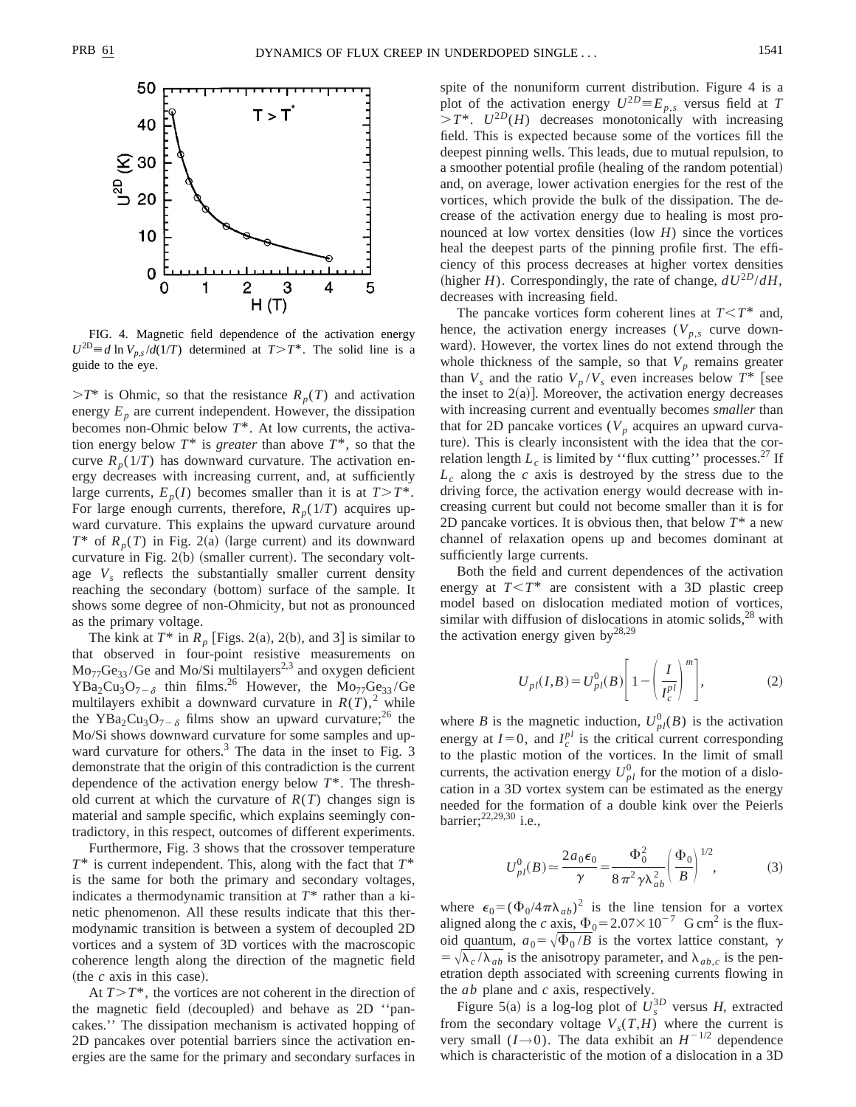

FIG. 4. Magnetic field dependence of the activation energy  $U^{2D} \equiv d \ln V_{p,s}/d(1/T)$  determined at  $T > T^*$ . The solid line is a guide to the eye.

 $\geq T^*$  is Ohmic, so that the resistance  $R_p(T)$  and activation energy  $E_p$  are current independent. However, the dissipation becomes non-Ohmic below *T*\*. At low currents, the activation energy below  $T^*$  is *greater* than above  $T^*$ , so that the curve  $R_p(1/T)$  has downward curvature. The activation energy decreases with increasing current, and, at sufficiently large currents,  $E_p(I)$  becomes smaller than it is at  $T>T^*$ . For large enough currents, therefore,  $R_p(1/T)$  acquires upward curvature. This explains the upward curvature around  $T^*$  of  $R_p(T)$  in Fig. 2(a) (large current) and its downward curvature in Fig.  $2(b)$  (smaller current). The secondary voltage  $V_s$  reflects the substantially smaller current density reaching the secondary (bottom) surface of the sample. It shows some degree of non-Ohmicity, but not as pronounced as the primary voltage.

The kink at  $T^*$  in  $R_p$  [Figs. 2(a), 2(b), and 3] is similar to that observed in four-point resistive measurements on  $Mo_{77}Ge_{33}/Ge$  and  $Mo/Si$  multilayers<sup>2,3</sup> and oxygen deficient  $YBa_2Cu_3O_{7-\delta}$  thin films.<sup>26</sup> However, the Mo<sub>77</sub>Ge<sub>33</sub>/Ge multilayers exhibit a downward curvature in  $R(T)$ ,<sup>2</sup> while the YBa<sub>2</sub>Cu<sub>3</sub>O<sub>7- $\delta$ </sub> films show an upward curvature;<sup>26</sup> the Mo/Si shows downward curvature for some samples and upward curvature for others.<sup>3</sup> The data in the inset to Fig. 3 demonstrate that the origin of this contradiction is the current dependence of the activation energy below *T*\*. The threshold current at which the curvature of  $R(T)$  changes sign is material and sample specific, which explains seemingly contradictory, in this respect, outcomes of different experiments.

Furthermore, Fig. 3 shows that the crossover temperature *T*\* is current independent. This, along with the fact that *T*\* is the same for both the primary and secondary voltages, indicates a thermodynamic transition at *T*\* rather than a kinetic phenomenon. All these results indicate that this thermodynamic transition is between a system of decoupled 2D vortices and a system of 3D vortices with the macroscopic coherence length along the direction of the magnetic field (the  $c$  axis in this case).

At  $T>T^*$ , the vortices are not coherent in the direction of the magnetic field (decoupled) and behave as  $2D$  "pancakes.'' The dissipation mechanism is activated hopping of 2D pancakes over potential barriers since the activation energies are the same for the primary and secondary surfaces in spite of the nonuniform current distribution. Figure 4 is a plot of the activation energy  $U^{2D} \equiv E_{p,s}$  versus field at *T*  $> T^*$ .  $U^{2D}(H)$  decreases monotonically with increasing field. This is expected because some of the vortices fill the deepest pinning wells. This leads, due to mutual repulsion, to a smoother potential profile (healing of the random potential) and, on average, lower activation energies for the rest of the vortices, which provide the bulk of the dissipation. The decrease of the activation energy due to healing is most pronounced at low vortex densities  $(\text{low } H)$  since the vortices heal the deepest parts of the pinning profile first. The efficiency of this process decreases at higher vortex densities (higher *H*). Correspondingly, the rate of change,  $dU^{2D}/dH$ , decreases with increasing field.

The pancake vortices form coherent lines at  $T \leq T^*$  and, hence, the activation energy increases ( $V_{p,s}$  curve downward). However, the vortex lines do not extend through the whole thickness of the sample, so that  $V_p$  remains greater than  $V_s$  and the ratio  $V_p/V_s$  even increases below  $T^*$  [see the inset to  $2(a)$ . Moreover, the activation energy decreases with increasing current and eventually becomes *smaller* than that for 2D pancake vortices  $(V_p$  acquires an upward curvature). This is clearly inconsistent with the idea that the correlation length  $L_c$  is limited by "flux cutting" processes.<sup>27</sup> If  $L_c$  along the *c* axis is destroyed by the stress due to the driving force, the activation energy would decrease with increasing current but could not become smaller than it is for 2D pancake vortices. It is obvious then, that below *T*\* a new channel of relaxation opens up and becomes dominant at sufficiently large currents.

Both the field and current dependences of the activation energy at  $T < T^*$  are consistent with a 3D plastic creep model based on dislocation mediated motion of vortices, similar with diffusion of dislocations in atomic solids, $^{28}$  with the activation energy given  $by^{28,29}$ 

$$
U_{pl}(I,B) = U_{pl}^0(B) \left[ 1 - \left( \frac{I}{I_c^{pl}} \right)^m \right],\tag{2}
$$

where *B* is the magnetic induction,  $U_{pl}^{0}(B)$  is the activation energy at  $I=0$ , and  $I_c^{pl}$  is the critical current corresponding to the plastic motion of the vortices. In the limit of small currents, the activation energy  $U_{pl}^0$  for the motion of a dislocation in a 3D vortex system can be estimated as the energy needed for the formation of a double kink over the Peierls barrier;<sup>22,29,30</sup> i.e.,

$$
U_{pl}^{0}(B) \simeq \frac{2a_0 \epsilon_0}{\gamma} = \frac{\Phi_0^2}{8\pi^2 \gamma \lambda_{ab}^2} \left(\frac{\Phi_0}{B}\right)^{1/2},
$$
 (3)

where  $\epsilon_0 = (\Phi_0/4\pi\lambda_{ab})^2$  is the line tension for a vortex aligned along the *c* axis,  $\Phi_0 = 2.07 \times 10^{-7}$  G cm<sup>2</sup> is the fluxoid quantum,  $a_0 = \sqrt{\Phi_0 / B}$  is the vortex lattice constant,  $\gamma$  $= \sqrt{\lambda_c / \lambda_{ab}}$  is the anisotropy parameter, and  $\lambda_{ab,c}$  is the penetration depth associated with screening currents flowing in the *ab* plane and *c* axis, respectively.

Figure 5(a) is a log-log plot of  $U_s^{3D}$  versus *H*, extracted from the secondary voltage  $V_s(T,H)$  where the current is very small  $(I\rightarrow 0)$ . The data exhibit an  $H^{-1/2}$  dependence which is characteristic of the motion of a dislocation in a 3D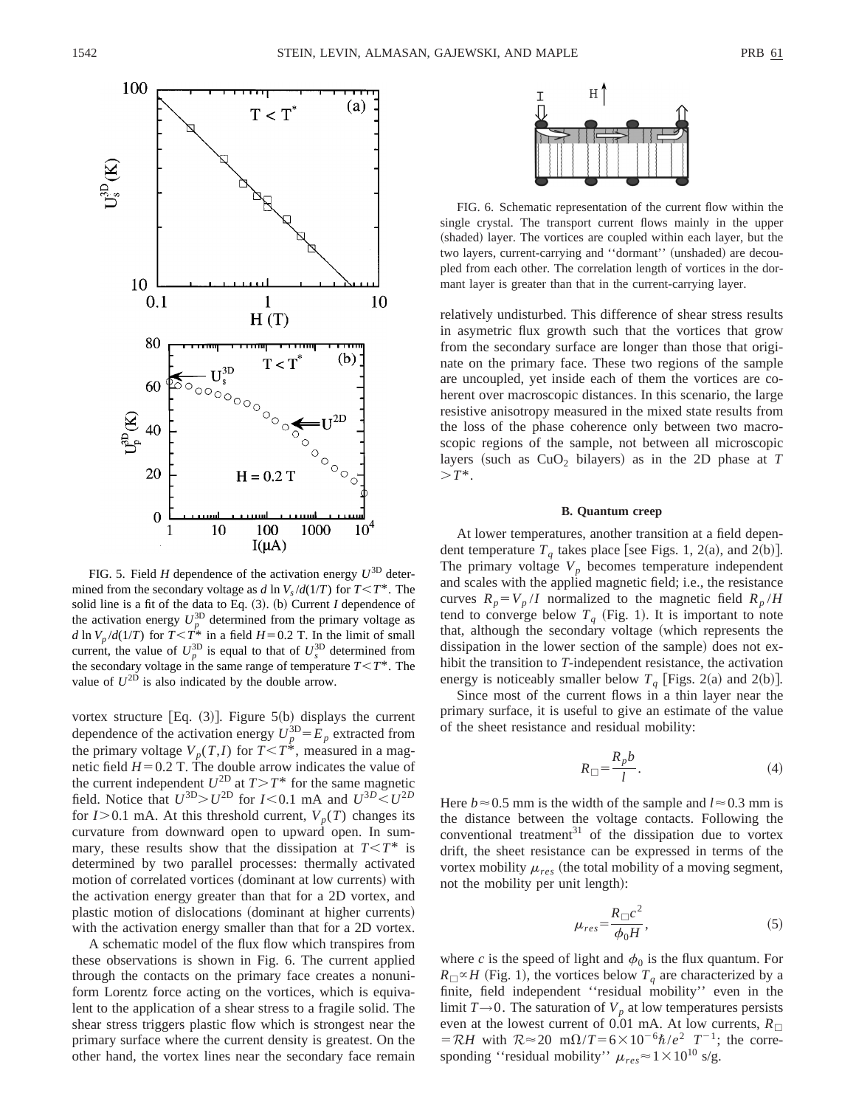

FIG. 5. Field *H* dependence of the activation energy  $U^{3D}$  determined from the secondary voltage as *d* ln  $V_s/d(1/T)$  for  $T < T^*$ . The solid line is a fit of the data to Eq.  $(3)$ . (b) Current *I* dependence of the activation energy  $U_p^{3D}$  determined from the primary voltage as *d* ln  $V_p/d(1/T)$  for  $T < T^*$  in a field  $H=0.2$  T. In the limit of small current, the value of  $U_p^{3D}$  is equal to that of  $U_s^{3D}$  determined from the secondary voltage in the same range of temperature  $T \leq T^*$ . The value of  $U^{\text{2D}}$  is also indicated by the double arrow.

vortex structure [Eq.  $(3)$ ]. Figure 5(b) displays the current dependence of the activation energy  $U_p^{3D} = E_p$  extracted from the primary voltage  $V_p(T, I)$  for  $T \leq T^*$ , measured in a magnetic field  $H=0.2$  T. The double arrow indicates the value of the current independent  $U^{2D}$  at  $T>T^*$  for the same magnetic field. Notice that  $U^{3D} > U^{2D}$  for  $I < 0.1$  mA and  $U^{3D} < U^{2D}$ for  $I > 0.1$  mA. At this threshold current,  $V_p(T)$  changes its curvature from downward open to upward open. In summary, these results show that the dissipation at  $T \leq T^*$  is determined by two parallel processes: thermally activated motion of correlated vortices (dominant at low currents) with the activation energy greater than that for a 2D vortex, and plastic motion of dislocations (dominant at higher currents) with the activation energy smaller than that for a 2D vortex.

A schematic model of the flux flow which transpires from these observations is shown in Fig. 6. The current applied through the contacts on the primary face creates a nonuniform Lorentz force acting on the vortices, which is equivalent to the application of a shear stress to a fragile solid. The shear stress triggers plastic flow which is strongest near the primary surface where the current density is greatest. On the other hand, the vortex lines near the secondary face remain



FIG. 6. Schematic representation of the current flow within the single crystal. The transport current flows mainly in the upper (shaded) layer. The vortices are coupled within each layer, but the two layers, current-carrying and "dormant" (unshaded) are decoupled from each other. The correlation length of vortices in the dormant layer is greater than that in the current-carrying layer.

relatively undisturbed. This difference of shear stress results in asymetric flux growth such that the vortices that grow from the secondary surface are longer than those that originate on the primary face. These two regions of the sample are uncoupled, yet inside each of them the vortices are coherent over macroscopic distances. In this scenario, the large resistive anisotropy measured in the mixed state results from the loss of the phase coherence only between two macroscopic regions of the sample, not between all microscopic layers (such as  $CuO<sub>2</sub>$  bilayers) as in the 2D phase at *T*  $> T^*$ .

#### **B. Quantum creep**

At lower temperatures, another transition at a field dependent temperature  $T<sub>q</sub>$  takes place [see Figs. 1, 2(a), and 2(b)]. The primary voltage  $V_p$  becomes temperature independent and scales with the applied magnetic field; i.e., the resistance curves  $R_p = V_p / I$  normalized to the magnetic field  $R_p / H$ tend to converge below  $T_q$  (Fig. 1). It is important to note that, although the secondary voltage (which represents the dissipation in the lower section of the sample) does not exhibit the transition to *T*-independent resistance, the activation energy is noticeably smaller below  $T_q$  [Figs. 2(a) and 2(b)].

Since most of the current flows in a thin layer near the primary surface, it is useful to give an estimate of the value of the sheet resistance and residual mobility:

$$
R_{\Box} = \frac{R_p b}{l}.
$$
 (4)

Here  $b \approx 0.5$  mm is the width of the sample and  $l \approx 0.3$  mm is the distance between the voltage contacts. Following the conventional treatment $31$  of the dissipation due to vortex drift, the sheet resistance can be expressed in terms of the vortex mobility  $\mu_{res}$  (the total mobility of a moving segment, not the mobility per unit length):

$$
\mu_{res} = \frac{R_{\Box}c^2}{\phi_0 H},\tag{5}
$$

where *c* is the speed of light and  $\phi_0$  is the flux quantum. For  $R_{\Box} \propto H$  (Fig. 1), the vortices below  $T_{q}$  are characterized by a finite, field independent ''residual mobility'' even in the limit  $T\rightarrow 0$ . The saturation of  $V_p$  at low temperatures persists even at the lowest current of 0.01 mA. At low currents,  $R_{\Box}$  $= \mathcal{R}H$  with  $\mathcal{R} \approx 20 \text{ m}\Omega/T = 6 \times 10^{-6}\hbar/e^2 T^{-1}$ ; the corresponding "residual mobility"  $\mu_{res} \approx 1 \times 10^{10}$  s/g.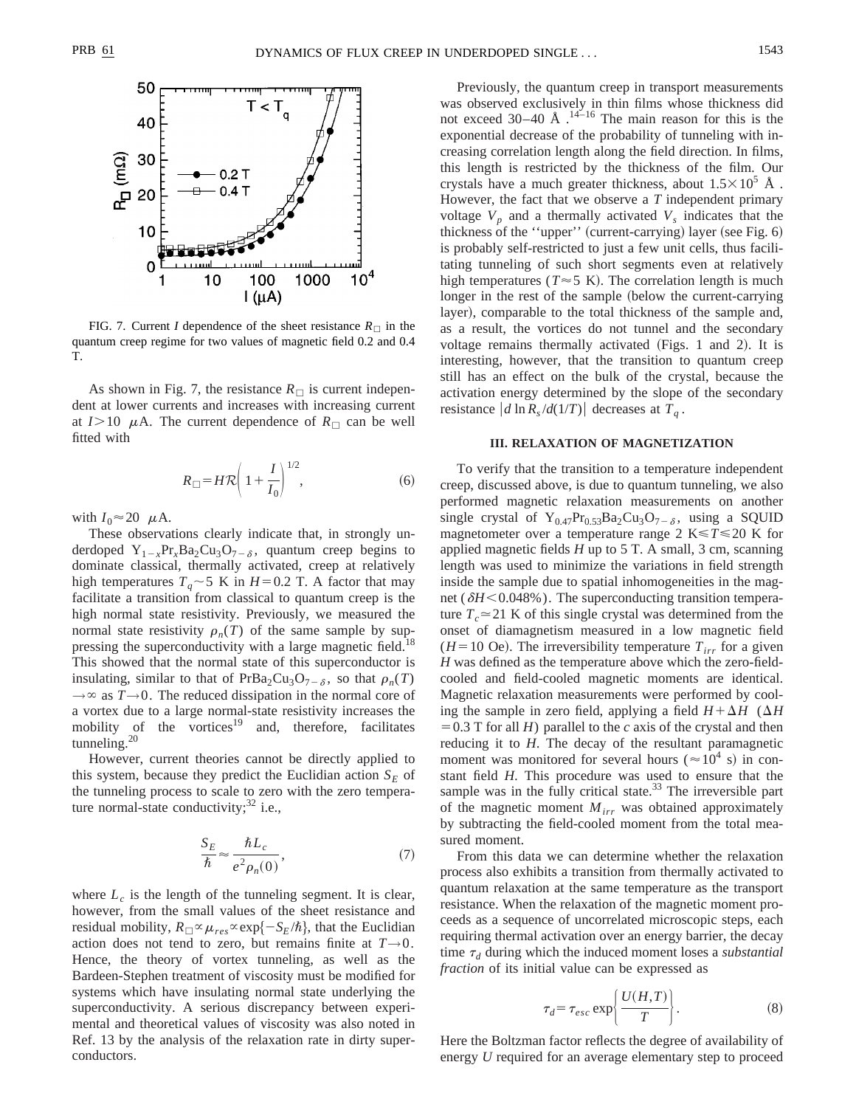

FIG. 7. Current *I* dependence of the sheet resistance  $R_{\Box}$  in the quantum creep regime for two values of magnetic field 0.2 and 0.4 T.

As shown in Fig. 7, the resistance  $R_{\Box}$  is current independent at lower currents and increases with increasing current at  $I>10$   $\mu$ A. The current dependence of  $R_{\Box}$  can be well fitted with

$$
R_{\square} = H\mathcal{R}\left(1 + \frac{I}{I_0}\right)^{1/2},\tag{6}
$$

with  $I_0 \approx 20 \mu$ A.

These observations clearly indicate that, in strongly underdoped  $Y_{1-x}Pr_xBa_2Cu_3O_{7-\delta}$ , quantum creep begins to dominate classical, thermally activated, creep at relatively high temperatures  $T_q \sim 5$  K in  $H=0.2$  T. A factor that may facilitate a transition from classical to quantum creep is the high normal state resistivity. Previously, we measured the normal state resistivity  $\rho_n(T)$  of the same sample by suppressing the superconductivity with a large magnetic field.<sup>18</sup> This showed that the normal state of this superconductor is insulating, similar to that of PrBa<sub>2</sub>Cu<sub>3</sub>O<sub>7- $\delta$ </sub>, so that  $\rho_n(T)$  $\rightarrow \infty$  as  $T \rightarrow 0$ . The reduced dissipation in the normal core of a vortex due to a large normal-state resistivity increases the mobility of the vortices $19$  and, therefore, facilitates tunneling.<sup>20</sup>

However, current theories cannot be directly applied to this system, because they predict the Euclidian action  $S_E$  of the tunneling process to scale to zero with the zero temperature normal-state conductivity; $32$  i.e.,

$$
\frac{S_E}{\hbar} \approx \frac{\hbar L_c}{e^2 \rho_n(0)},\tag{7}
$$

where  $L_c$  is the length of the tunneling segment. It is clear, however, from the small values of the sheet resistance and residual mobility,  $R_{\Box} \propto \mu_{res} \propto \exp\{-S_E/\hbar\}$ , that the Euclidian action does not tend to zero, but remains finite at  $T\rightarrow 0$ . Hence, the theory of vortex tunneling, as well as the Bardeen-Stephen treatment of viscosity must be modified for systems which have insulating normal state underlying the superconductivity. A serious discrepancy between experimental and theoretical values of viscosity was also noted in Ref. 13 by the analysis of the relaxation rate in dirty superconductors.

Previously, the quantum creep in transport measurements was observed exclusively in thin films whose thickness did not exceed 30–40 Å  $^{14-16}$  The main reason for this is the exponential decrease of the probability of tunneling with increasing correlation length along the field direction. In films, this length is restricted by the thickness of the film. Our crystals have a much greater thickness, about  $1.5 \times 10^5$  Å. However, the fact that we observe a *T* independent primary voltage  $V_p$  and a thermally activated  $V_s$  indicates that the thickness of the "upper" (current-carrying) layer (see Fig.  $6$ ) is probably self-restricted to just a few unit cells, thus facilitating tunneling of such short segments even at relatively high temperatures ( $T \approx 5$  K). The correlation length is much longer in the rest of the sample (below the current-carrying layer), comparable to the total thickness of the sample and, as a result, the vortices do not tunnel and the secondary voltage remains thermally activated (Figs. 1 and 2). It is interesting, however, that the transition to quantum creep still has an effect on the bulk of the crystal, because the activation energy determined by the slope of the secondary resistance  $\left| d \ln R_s / d(1/T) \right|$  decreases at  $T_q$ .

## **III. RELAXATION OF MAGNETIZATION**

To verify that the transition to a temperature independent creep, discussed above, is due to quantum tunneling, we also performed magnetic relaxation measurements on another single crystal of Y<sub>0.47</sub>Pr<sub>0.53</sub>Ba<sub>2</sub>Cu<sub>3</sub>O<sub>7- $\delta$ </sub>, using a SQUID magnetometer over a temperature range 2 K $\leq T \leq 20$  K for applied magnetic fields *H* up to 5 T. A small, 3 cm, scanning length was used to minimize the variations in field strength inside the sample due to spatial inhomogeneities in the magnet ( $\delta$ *H*<0.048%). The superconducting transition temperature  $T_c \approx 21$  K of this single crystal was determined from the onset of diamagnetism measured in a low magnetic field  $(H=10 \text{ Oe})$ . The irreversibility temperature  $T_{irr}$  for a given *H* was defined as the temperature above which the zero-fieldcooled and field-cooled magnetic moments are identical. Magnetic relaxation measurements were performed by cooling the sample in zero field, applying a field  $H + \Delta H$  ( $\Delta H$  $=0.3$  T for all *H*) parallel to the *c* axis of the crystal and then reducing it to *H*. The decay of the resultant paramagnetic moment was monitored for several hours ( $\approx 10^4$  s) in constant field *H*. This procedure was used to ensure that the sample was in the fully critical state. $33$  The irreversible part of the magnetic moment  $M_{irr}$  was obtained approximately by subtracting the field-cooled moment from the total measured moment.

From this data we can determine whether the relaxation process also exhibits a transition from thermally activated to quantum relaxation at the same temperature as the transport resistance. When the relaxation of the magnetic moment proceeds as a sequence of uncorrelated microscopic steps, each requiring thermal activation over an energy barrier, the decay time  $\tau_d$  during which the induced moment loses a *substantial fraction* of its initial value can be expressed as

$$
\tau_d = \tau_{esc} \exp\left\{\frac{U(H,T)}{T}\right\}.
$$
 (8)

Here the Boltzman factor reflects the degree of availability of energy *U* required for an average elementary step to proceed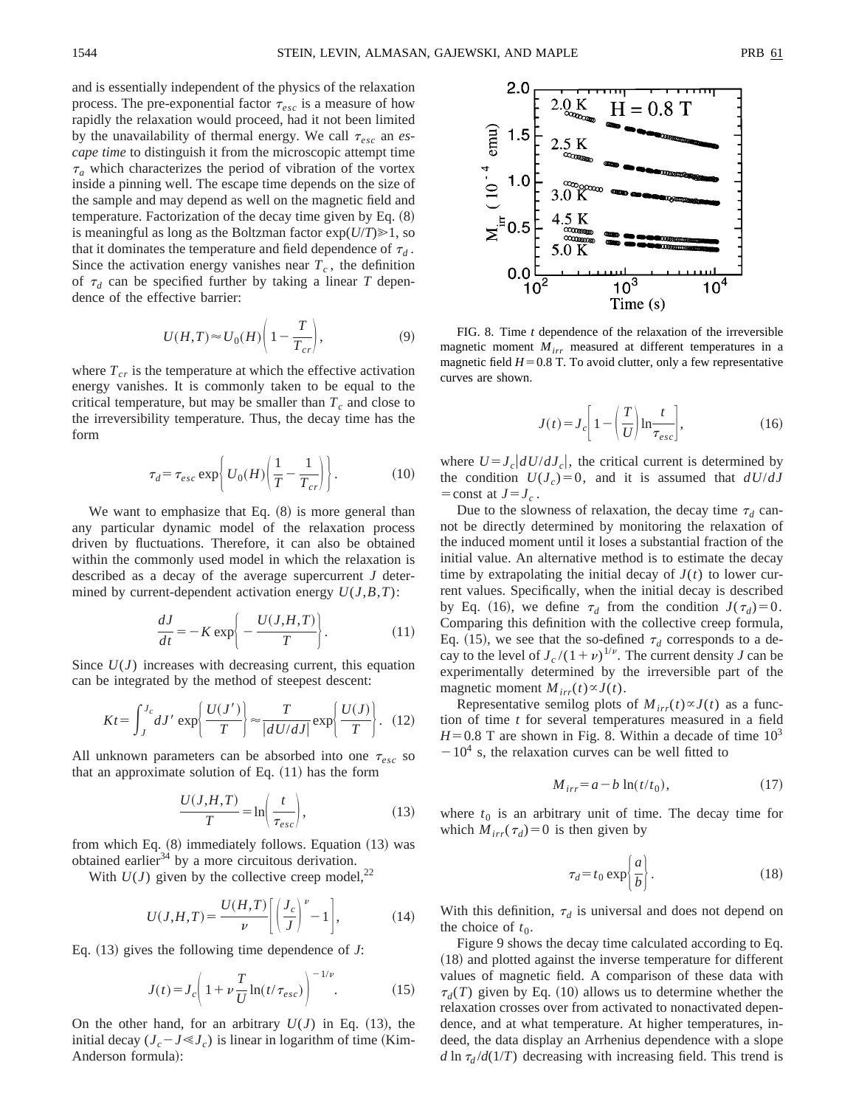and is essentially independent of the physics of the relaxation process. The pre-exponential factor  $\tau_{esc}$  is a measure of how rapidly the relaxation would proceed, had it not been limited by the unavailability of thermal energy. We call  $\tau_{esc}$  an *escape time* to distinguish it from the microscopic attempt time  $\tau_a$  which characterizes the period of vibration of the vortex inside a pinning well. The escape time depends on the size of the sample and may depend as well on the magnetic field and temperature. Factorization of the decay time given by Eq.  $(8)$ is meaningful as long as the Boltzman factor  $exp(U/T) \ge 1$ , so that it dominates the temperature and field dependence of  $\tau_d$ . Since the activation energy vanishes near  $T_c$ , the definition of  $\tau_d$  can be specified further by taking a linear *T* dependence of the effective barrier:

$$
U(H,T) \approx U_0(H) \left(1 - \frac{T}{T_{cr}}\right),\tag{9}
$$

where  $T_{cr}$  is the temperature at which the effective activation energy vanishes. It is commonly taken to be equal to the critical temperature, but may be smaller than  $T_c$  and close to the irreversibility temperature. Thus, the decay time has the form

$$
\tau_d = \tau_{esc} \exp\bigg\{ U_0(H) \bigg( \frac{1}{T} - \frac{1}{T_{cr}} \bigg) \bigg\}.
$$
 (10)

We want to emphasize that Eq.  $(8)$  is more general than any particular dynamic model of the relaxation process driven by fluctuations. Therefore, it can also be obtained within the commonly used model in which the relaxation is described as a decay of the average supercurrent *J* determined by current-dependent activation energy  $U(J, B, T)$ :

$$
\frac{dJ}{dt} = -K \exp\left(-\frac{U(J, H, T)}{T}\right).
$$
 (11)

Since  $U(J)$  increases with decreasing current, this equation can be integrated by the method of steepest descent:

$$
Kt = \int_{J}^{J_c} dJ' \exp\left\{\frac{U(J')}{T}\right\} \approx \frac{T}{|dU/dJ|} \exp\left\{\frac{U(J)}{T}\right\}.
$$
 (12)

All unknown parameters can be absorbed into one  $\tau_{esc}$  so that an approximate solution of Eq.  $(11)$  has the form

$$
\frac{U(J,H,T)}{T} = \ln\left(\frac{t}{\tau_{esc}}\right),\tag{13}
$$

from which Eq.  $(8)$  immediately follows. Equation  $(13)$  was obtained earlier $34$  by a more circuitous derivation.

With  $U(J)$  given by the collective creep model,<sup>22</sup>

$$
U(J,H,T) = \frac{U(H,T)}{\nu} \left[ \left( \frac{J_c}{J} \right)^{\nu} - 1 \right],\tag{14}
$$

Eq.  $(13)$  gives the following time dependence of *J*:

$$
J(t) = J_c \left( 1 + \nu \frac{T}{U} \ln(t/\tau_{esc}) \right)^{-1/\nu}.
$$
 (15)

On the other hand, for an arbitrary  $U(J)$  in Eq. (13), the initial decay  $(J_c - J \ll J_c)$  is linear in logarithm of time (Kim-Anderson formula):



FIG. 8. Time *t* dependence of the relaxation of the irreversible magnetic moment *Mirr* measured at different temperatures in a magnetic field  $H=0.8$  T. To avoid clutter, only a few representative curves are shown.

$$
J(t) = J_c \left[ 1 - \left(\frac{T}{U}\right) \ln \frac{t}{\tau_{esc}} \right],\tag{16}
$$

where  $U = J_c |dU/dJ_c|$ , the critical current is determined by the condition  $U(J_c)=0$ , and it is assumed that  $dU/dJ$  $=$  const at  $J=J_c$ .

Due to the slowness of relaxation, the decay time  $\tau_d$  cannot be directly determined by monitoring the relaxation of the induced moment until it loses a substantial fraction of the initial value. An alternative method is to estimate the decay time by extrapolating the initial decay of  $J(t)$  to lower current values. Specifically, when the initial decay is described by Eq. (16), we define  $\tau_d$  from the condition  $J(\tau_d)=0$ . Comparing this definition with the collective creep formula, Eq. (15), we see that the so-defined  $\tau_d$  corresponds to a decay to the level of  $J_c/(1+\nu)^{1/\nu}$ . The current density *J* can be experimentally determined by the irreversible part of the magnetic moment  $M_{irr}(t) \propto J(t)$ .

Representative semilog plots of  $M_{irr}(t) \propto J(t)$  as a function of time *t* for several temperatures measured in a field  $H=0.8$  T are shown in Fig. 8. Within a decade of time  $10<sup>3</sup>$  $-10<sup>4</sup>$  s, the relaxation curves can be well fitted to

$$
M_{irr} = a - b \ln(t/t_0),\tag{17}
$$

where  $t_0$  is an arbitrary unit of time. The decay time for which  $M_{irr}(\tau_d)=0$  is then given by

$$
\tau_d = t_0 \exp\left\{\frac{a}{b}\right\}.
$$
 (18)

With this definition,  $\tau_d$  is universal and does not depend on the choice of  $t_0$ .

Figure 9 shows the decay time calculated according to Eq.  $(18)$  and plotted against the inverse temperature for different values of magnetic field. A comparison of these data with  $\tau_d(T)$  given by Eq. (10) allows us to determine whether the relaxation crosses over from activated to nonactivated dependence, and at what temperature. At higher temperatures, indeed, the data display an Arrhenius dependence with a slope *d* ln  $\tau_d$ /*d*(1/*T*) decreasing with increasing field. This trend is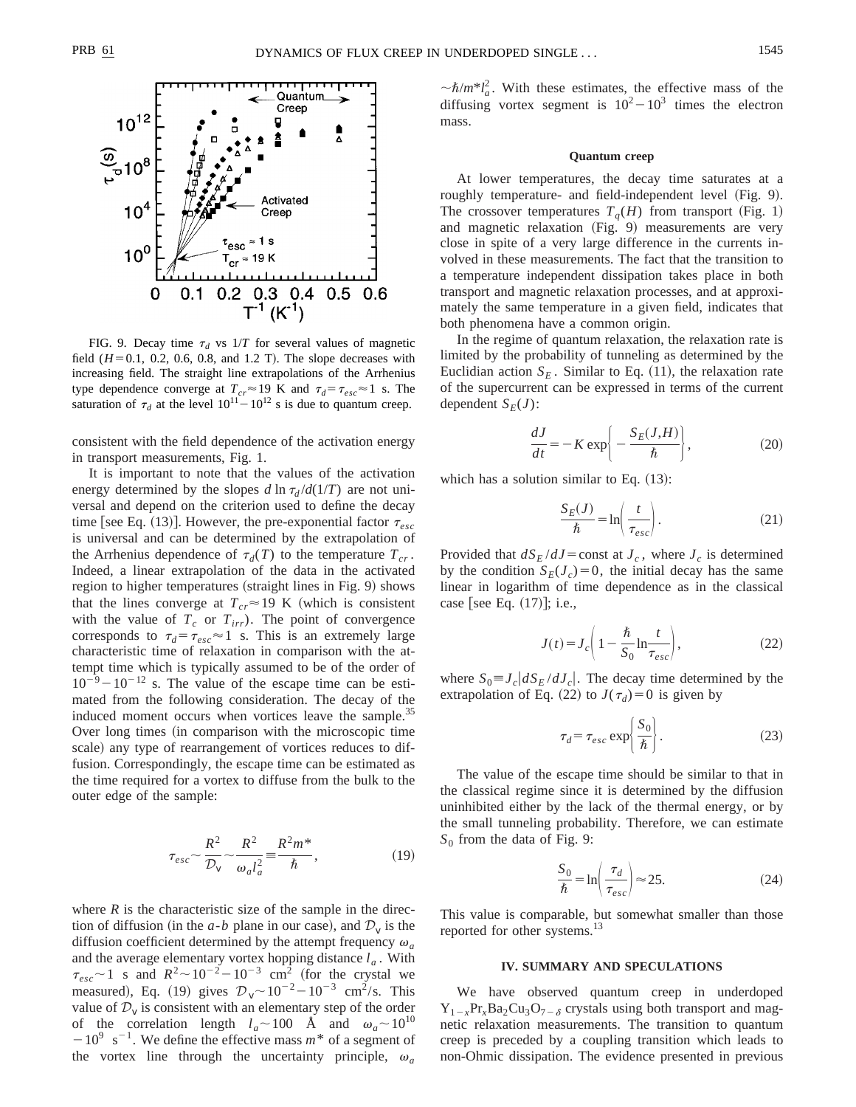

FIG. 9. Decay time  $\tau_d$  vs  $1/T$  for several values of magnetic field  $(H=0.1, 0.2, 0.6, 0.8,$  and 1.2 T). The slope decreases with increasing field. The straight line extrapolations of the Arrhenius type dependence converge at  $T_{cr} \approx 19$  K and  $\tau_d = \tau_{esc} \approx 1$  s. The saturation of  $\tau_d$  at the level  $10^{11} - 10^{12}$  s is due to quantum creep.

consistent with the field dependence of the activation energy in transport measurements, Fig. 1.

It is important to note that the values of the activation energy determined by the slopes *d*  $\ln \tau_d / d(1/T)$  are not universal and depend on the criterion used to define the decay time [see Eq. (13)]. However, the pre-exponential factor  $\tau_{esc}$ is universal and can be determined by the extrapolation of the Arrhenius dependence of  $\tau_d(T)$  to the temperature  $T_{cr}$ . Indeed, a linear extrapolation of the data in the activated region to higher temperatures (straight lines in Fig. 9) shows that the lines converge at  $T_{cr} \approx 19 \text{ K}$  (which is consistent with the value of  $T_c$  or  $T_{irr}$ ). The point of convergence corresponds to  $\tau_d = \tau_{esc} \approx 1$  s. This is an extremely large characteristic time of relaxation in comparison with the attempt time which is typically assumed to be of the order of  $10^{-9} - 10^{-12}$  s. The value of the escape time can be estimated from the following consideration. The decay of the induced moment occurs when vortices leave the sample.<sup>35</sup> Over long times (in comparison with the microscopic time scale) any type of rearrangement of vortices reduces to diffusion. Correspondingly, the escape time can be estimated as the time required for a vortex to diffuse from the bulk to the outer edge of the sample:

$$
\tau_{esc} \sim \frac{R^2}{\mathcal{D}_V} \sim \frac{R^2}{\omega_a l_a^2} = \frac{R^2 m^*}{\hbar},\tag{19}
$$

where  $R$  is the characteristic size of the sample in the direction of diffusion (in the *a-b* plane in our case), and  $\mathcal{D}_v$  is the diffusion coefficient determined by the attempt frequency  $\omega_a$ and the average elementary vortex hopping distance  $l_a$ . With  $\tau_{esc}$  <sup>1</sup> s and  $R^2$  ~ 10<sup>-2</sup> - 10<sup>-3</sup> cm<sup>2</sup> (for the crystal we measured), Eq. (19) gives  $D_v \sim 10^{-2} - 10^{-3}$  cm<sup>2</sup>/s. This value of  $\mathcal{D}_v$  is consistent with an elementary step of the order of the correlation length  $l_a \sim 100$  Å and  $\omega_a \sim 10^{10}$  $-10^{9}$  s<sup>-1</sup>. We define the effective mass  $m^*$  of a segment of the vortex line through the uncertainty principle,  $\omega_a$ 

 $\sim \frac{\hbar}{m^*} l_a^2$ . With these estimates, the effective mass of the diffusing vortex segment is  $10^2 - 10^3$  times the electron mass.

#### **Quantum creep**

At lower temperatures, the decay time saturates at a roughly temperature- and field-independent level (Fig. 9). The crossover temperatures  $T_q(H)$  from transport (Fig. 1) and magnetic relaxation  $(Fig. 9)$  measurements are very close in spite of a very large difference in the currents involved in these measurements. The fact that the transition to a temperature independent dissipation takes place in both transport and magnetic relaxation processes, and at approximately the same temperature in a given field, indicates that both phenomena have a common origin.

In the regime of quantum relaxation, the relaxation rate is limited by the probability of tunneling as determined by the Euclidian action  $S_F$ . Similar to Eq.  $(11)$ , the relaxation rate of the supercurrent can be expressed in terms of the current dependent  $S_E(J)$ :

$$
\frac{dJ}{dt} = -K \exp\left(-\frac{S_E(J,H)}{\hbar}\right),\tag{20}
$$

which has a solution similar to Eq.  $(13)$ :

$$
\frac{S_E(J)}{\hbar} = \ln\left(\frac{t}{\tau_{esc}}\right). \tag{21}
$$

Provided that  $dS_E/dJ = \text{const}$  at  $J_c$ , where  $J_c$  is determined by the condition  $S_E(J_c)=0$ , the initial decay has the same linear in logarithm of time dependence as in the classical case [see Eq.  $(17)$ ]; i.e.,

$$
J(t) = J_c \left( 1 - \frac{\hbar}{S_0} \ln \frac{t}{\tau_{esc}} \right),\tag{22}
$$

where  $S_0 \equiv J_c |dS_E/dJ_c|$ . The decay time determined by the extrapolation of Eq. (22) to  $J(\tau_d)=0$  is given by

$$
\tau_d = \tau_{esc} \exp\left\{\frac{S_0}{\hbar}\right\}.
$$
 (23)

The value of the escape time should be similar to that in the classical regime since it is determined by the diffusion uninhibited either by the lack of the thermal energy, or by the small tunneling probability. Therefore, we can estimate  $S_0$  from the data of Fig. 9:

$$
\frac{S_0}{\hbar} = \ln \left( \frac{\tau_d}{\tau_{esc}} \right) \approx 25. \tag{24}
$$

This value is comparable, but somewhat smaller than those reported for other systems.<sup>13</sup>

# **IV. SUMMARY AND SPECULATIONS**

We have observed quantum creep in underdoped  $Y_{1-x}Pr_xBa_2Cu_3O_{7-\delta}$  crystals using both transport and magnetic relaxation measurements. The transition to quantum creep is preceded by a coupling transition which leads to non-Ohmic dissipation. The evidence presented in previous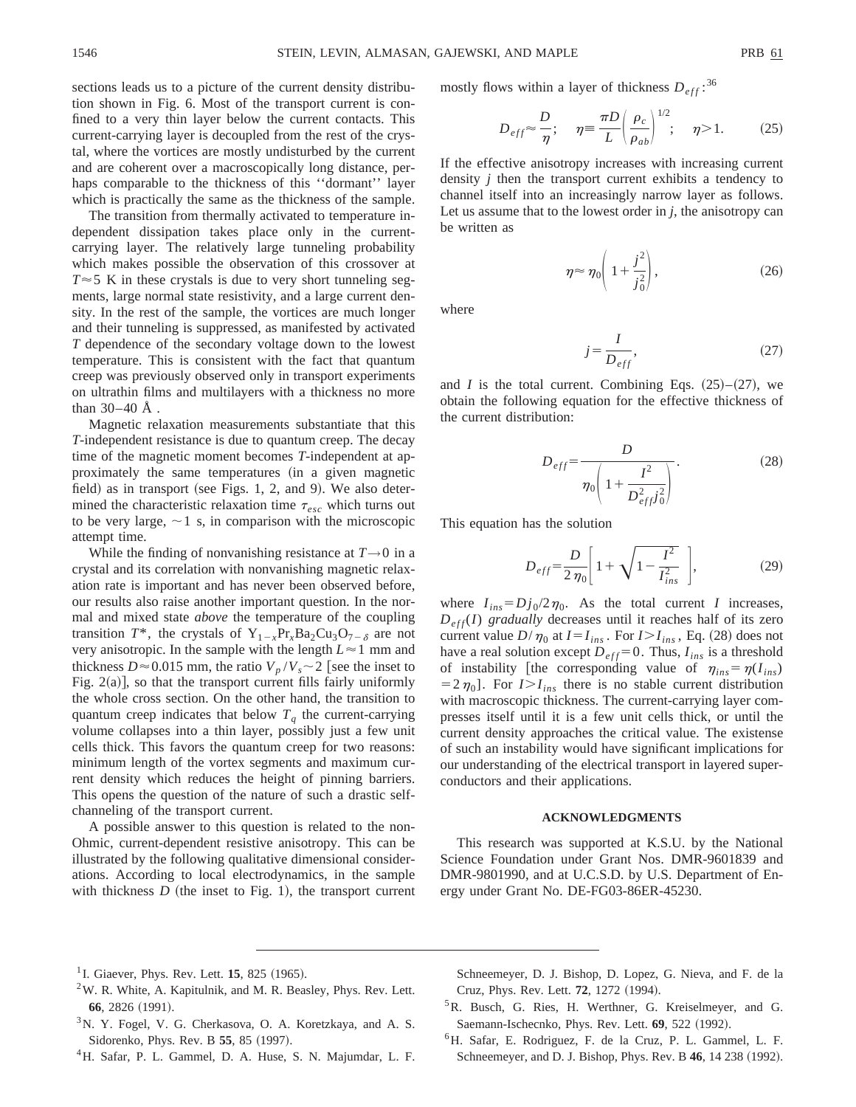sections leads us to a picture of the current density distribution shown in Fig. 6. Most of the transport current is confined to a very thin layer below the current contacts. This current-carrying layer is decoupled from the rest of the crystal, where the vortices are mostly undisturbed by the current and are coherent over a macroscopically long distance, perhaps comparable to the thickness of this ''dormant'' layer which is practically the same as the thickness of the sample.

The transition from thermally activated to temperature independent dissipation takes place only in the currentcarrying layer. The relatively large tunneling probability which makes possible the observation of this crossover at  $T \approx 5$  K in these crystals is due to very short tunneling segments, large normal state resistivity, and a large current density. In the rest of the sample, the vortices are much longer and their tunneling is suppressed, as manifested by activated *T* dependence of the secondary voltage down to the lowest temperature. This is consistent with the fact that quantum creep was previously observed only in transport experiments on ultrathin films and multilayers with a thickness no more than 30–40 Å .

Magnetic relaxation measurements substantiate that this *T*-independent resistance is due to quantum creep. The decay time of the magnetic moment becomes *T*-independent at approximately the same temperatures (in a given magnetic field) as in transport (see Figs. 1, 2, and 9). We also determined the characteristic relaxation time  $\tau_{esc}$  which turns out to be very large,  $\sim$  1 s, in comparison with the microscopic attempt time.

While the finding of nonvanishing resistance at  $T\rightarrow 0$  in a crystal and its correlation with nonvanishing magnetic relaxation rate is important and has never been observed before, our results also raise another important question. In the normal and mixed state *above* the temperature of the coupling transition  $T^*$ , the crystals of  $Y_{1-x}Pr_{x}Ba_{2}Cu_{3}O_{7-\delta}$  are not very anisotropic. In the sample with the length  $L \approx 1$  mm and thickness  $D \approx 0.015$  mm, the ratio  $V_p/V_s \sim 2$  [see the inset to Fig.  $2(a)$ , so that the transport current fills fairly uniformly the whole cross section. On the other hand, the transition to quantum creep indicates that below  $T_q$  the current-carrying volume collapses into a thin layer, possibly just a few unit cells thick. This favors the quantum creep for two reasons: minimum length of the vortex segments and maximum current density which reduces the height of pinning barriers. This opens the question of the nature of such a drastic selfchanneling of the transport current.

A possible answer to this question is related to the non-Ohmic, current-dependent resistive anisotropy. This can be illustrated by the following qualitative dimensional considerations. According to local electrodynamics, in the sample with thickness  $D$  (the inset to Fig. 1), the transport current mostly flows within a layer of thickness  $D_{eff}$ :<sup>36</sup>

$$
D_{eff} \approx \frac{D}{\eta}; \quad \eta \equiv \frac{\pi D}{L} \left( \frac{\rho_c}{\rho_{ab}} \right)^{1/2}; \quad \eta > 1. \tag{25}
$$

If the effective anisotropy increases with increasing current density *j* then the transport current exhibits a tendency to channel itself into an increasingly narrow layer as follows. Let us assume that to the lowest order in *j*, the anisotropy can be written as

$$
\eta \approx \eta_0 \left( 1 + \frac{j^2}{j_0^2} \right),\tag{26}
$$

where

$$
j = \frac{I}{D_{eff}},\tag{27}
$$

and *I* is the total current. Combining Eqs.  $(25)$ – $(27)$ , we obtain the following equation for the effective thickness of the current distribution:

$$
D_{eff} = \frac{D}{\eta_0 \left(1 + \frac{I^2}{D_{eff}^2 j_0^2}\right)}.
$$
 (28)

This equation has the solution

$$
D_{eff} = \frac{D}{2 \eta_0} \left[ 1 + \sqrt{1 - \frac{I^2}{I_{ins}^2}} \right],
$$
 (29)

where  $I_{ins} = Dj_0/2\eta_0$ . As the total current *I* increases,  $D_{eff}(I)$  *gradually* decreases until it reaches half of its zero current value  $D/\eta_0$  at  $I = I_{ins}$ . For  $I > I_{ins}$ , Eq. (28) does not have a real solution except  $D_{eff} = 0$ . Thus,  $I_{ins}$  is a threshold of instability [the corresponding value of  $\eta_{ins} = \eta(I_{ins})$  $= 2 \eta_0$ . For  $I > I_{ins}$  there is no stable current distribution with macroscopic thickness. The current-carrying layer compresses itself until it is a few unit cells thick, or until the current density approaches the critical value. The existense of such an instability would have significant implications for our understanding of the electrical transport in layered superconductors and their applications.

## **ACKNOWLEDGMENTS**

This research was supported at K.S.U. by the National Science Foundation under Grant Nos. DMR-9601839 and DMR-9801990, and at U.C.S.D. by U.S. Department of Energy under Grant No. DE-FG03-86ER-45230.

- <sup>3</sup>N. Y. Fogel, V. G. Cherkasova, O. A. Koretzkaya, and A. S. Sidorenko, Phys. Rev. B 55, 85 (1997).
- 4H. Safar, P. L. Gammel, D. A. Huse, S. N. Majumdar, L. F.

Schneemeyer, D. J. Bishop, D. Lopez, G. Nieva, and F. de la Cruz, Phys. Rev. Lett. **72**, 1272 (1994).

- <sup>5</sup>R. Busch, G. Ries, H. Werthner, G. Kreiselmeyer, and G. Saemann-Ischecnko, Phys. Rev. Lett. **69**, 522 (1992).
- 6H. Safar, E. Rodriguez, F. de la Cruz, P. L. Gammel, L. F. Schneemeyer, and D. J. Bishop, Phys. Rev. B 46, 14 238 (1992).

<sup>&</sup>lt;sup>1</sup> I. Giaever, Phys. Rev. Lett. **15**, 825  $(1965)$ .

 $2$ W. R. White, A. Kapitulnik, and M. R. Beasley, Phys. Rev. Lett. **66**, 2826 (1991).